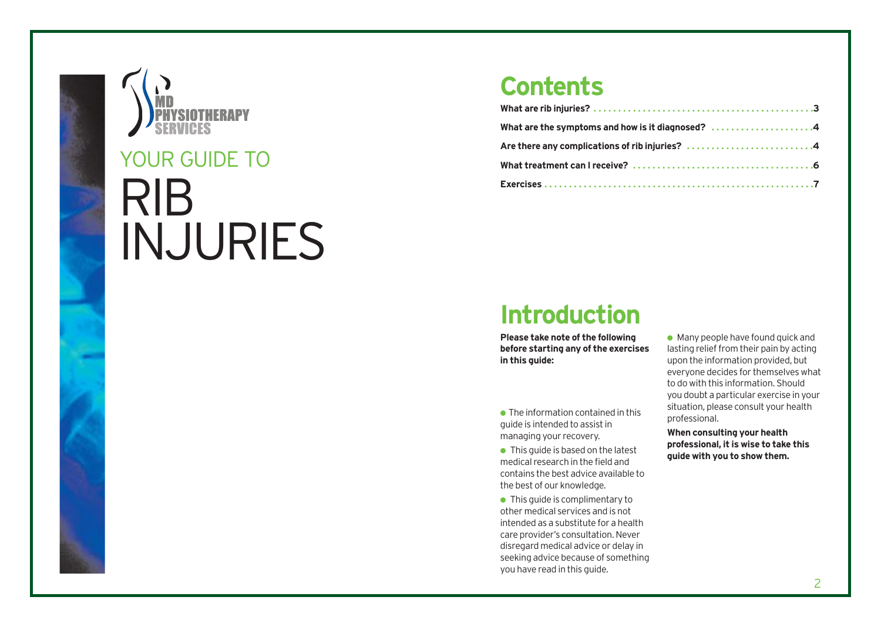

### **Contents**

| What are the symptoms and how is it diagnosed? 4 |
|--------------------------------------------------|
| Are there any complications of rib injuries? 4   |
|                                                  |
|                                                  |

## **Introduction**

**Please take note of the following before starting any of the exercises in this guide:**

● The information contained in this guide is intended to assist in managing your recovery.

 $\bullet$  This guide is based on the latest medical research in the field and contains the best advice available to the best of our knowledge.

● This guide is complimentary to other medical services and is not intended as a substitute for a health care provider's consultation. Never disregard medical advice or delay in seeking advice because of something you have read in this guide.

 $\bullet$  Many people have found quick and lasting relief from their pain by acting upon the information provided, but everyone decides for themselves what to do with this information. Should you doubt a particular exercise in your situation, please consult your health professional.

**When consulting your health pr o f essional, it is wise to take this guide with you to show them.**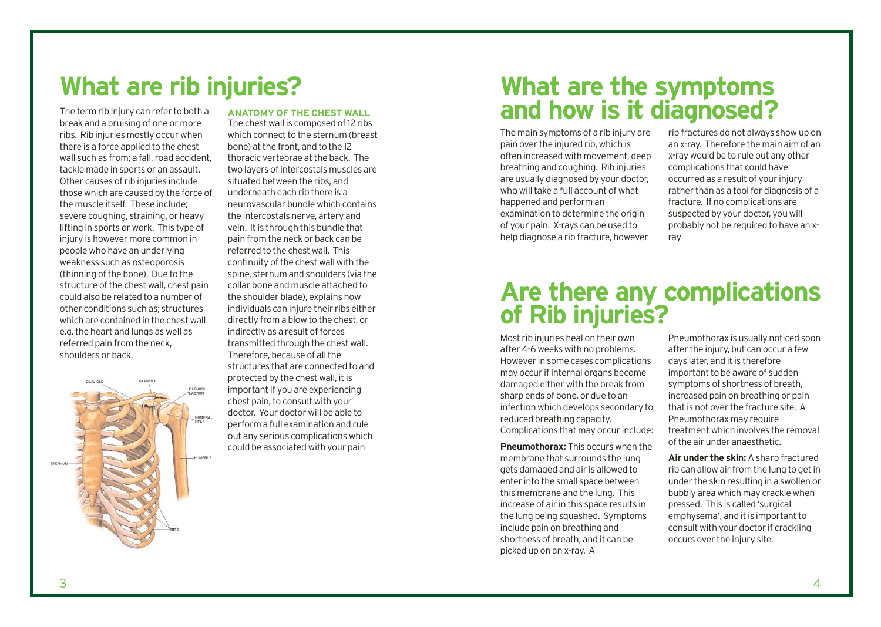## **What are rib injuries?**

The term rib injury can refer to both a break and a bruising of one or more ribs. Rib injuries mostly occur when there is a force applied to the chest wall such as from; a fall, road accident, tackle made in sports or an assault. Other causes of rib injuries include those which are caused by the force of the muscle itself. These include; severe coughing, straining, or heavy lifting in sports or work. This type of injury is however more common in people who have an underlying weakness such as osteoporosis (thinning of the bone). Due to the structure of the chest wall, chest pain could also be related to a number of other conditions such as; structures which are contained in the chest wall e.g. the heart and lungs as well as referred pain from the neck, shoulders or back.



**ANATOMY OF THE CHEST WALL**

The chest wall is composed of 12 ribs which connect to the sternum (breast bone) at the front, and to the 12 thoracic vertebrae at the back. The two layers of intercostals muscles are situated between the ribs, and underneath each rib there is a neurovascular bundle which contains the intercostals nerve, artery and vein. It is through this bundle that pain from the neck or back can be referred to the chest wall. This continuity of the chest wall with the spine, sternum and shoulders (via the collar bone and muscle attached to the shoulder blade), explains how individuals can injure their ribs either directly from a blow to the chest, or indirectly as a result of forces transmitted through the chest wall. Therefore, because of all the structures that are connected to and protected by the chest wall, it is important if you are experiencing chest pain, to consult with your doctor. Your doctor will be able to perform a full examination and rule out any serious complications which could be associated with your pain

## **What are the symptoms and how is it diagnosed?**

The main symptoms of a rib injury are pain over the injured rib, which is often increased with movement, deep breathing and coughing. Rib injuries are usually diagnosed by your doctor, who will take a full account of what happened and perform an examination to determine the origin of your pain. X-rays can be used to help diagnose a rib fracture, however

rib fractures do not always show up on an x-ray. Therefore the main aim of an x-ray would be to rule out any other complications that could have occurred as a result of your injury rather than as a tool for diagnosis of a fracture. If no complications are suspected by your doctor, you will probably not be required to have an xray

## **Are there any complications of Rib injuries?**

Most rib injuries heal on their own after 4-6 weeks with no problems. However in some cases complications may occur if internal organs become damaged either with the break from sharp ends of bone, or due to an infection which develops secondary to reduced breathing capacity. Complications that may occur include:

**Pneumothorax:** This occurs when the membrane that surrounds the lung gets damaged and air is allowed to enter into the small space between this membrane and the lung. This increase of air in this space results in the lung being squashed. Symptoms include pain on breathing and shortness of breath, and it can be picked up on an x-ray. A

Pneumothorax is usually noticed soon after the injury, but can occur a few days later, and it is therefore important to be aware of sudden symptoms of shortness of breath, increased pain on breathing or pain that is not over the fracture site. A Pneumothorax may require treatment which involves the removal of the air under anaesthetic.

**Air under the skin:** A sharp fractured rib can allow air from the lung to get in under the skin resulting in a swollen or bubbly area which may crackle when pressed. This is called 'surgical emphysema', and it is important to consult with your doctor if crackling occurs over the injury site.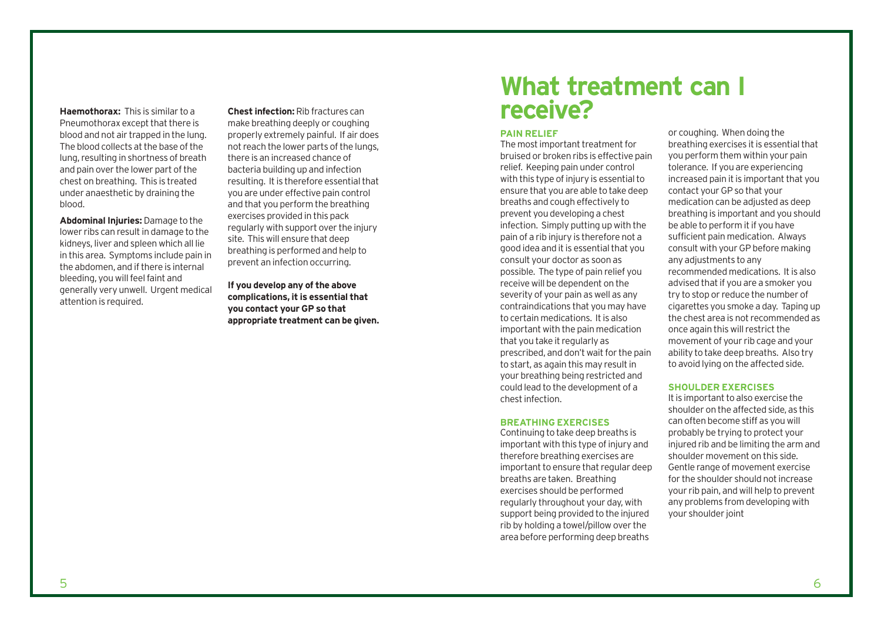**Haemothorax:** This is similar to a Pneumothorax except that there is blood and not air trapped in the lung. The blood collects at the base of the lung, resulting in shortness of breath and pain over the lower part of the chest on breathing. This is treated under anaesthetic by draining the blood.

**Abdominal Injuries:** Damage to the lower ribs can result in damage to the kidneys, liver and spleen which all lie in this area. Symptoms include pain in the abdomen, and if there is internal bleeding, you will feel faint and generally very unwell. Urgent medical attention is required.

**Chest infection:**Rib fractures can make breathing deeply or coughing properly extremely painful. If air does not reach the lower parts of the lungs, there is an increased chance of bacteria building up and infection resulting. It is therefore essential that you are under effective pain control and that you perform the breathing exercises provided in this pack regularly with support over the injury site. This will ensure that deep breathing is performed and help to prevent an infection occurring.

**If you develop any of the above complications, it is essential that you contact your GP so that appropriate treatment can be given.** 

### **What treatment can I receive?**

#### **PAIN RELIEF**

The most important treatment for bruised or broken ribs is effective pain relief. Keeping pain under control with this type of injury is essential to ensure that you are able to take deep breaths and cough effectively to prevent you developing a chest infection. Simply putting up with the pain of a rib injury is therefore not a good idea and it is essential that you consult your doctor as soon as possible. The type of pain relief you receive will be dependent on the severity of your pain as well as any contraindications that you may have to certain medications. It is also important with the pain medication that you take it regularly as prescribed, and don't wait for the pain to start, as again this may result in your breathing being restricted and could lead to the development of a chest infection.

#### **BREATHING EXERCISES**

Continuing to take deep breaths is important with this type of injury and therefore breathing exercises are important to ensure that regular deep breaths are taken. Breathing exercises should be performed regularly throughout your day, with support being provided to the injured rib by holding a towel/pillow over the area before performing deep breaths

or coughing. When doing the breathing exercises it is essential that you perform them within your pain tolerance. If you are experiencing increased pain it is important that you contact your GP so that your medication can be adjusted as deep breathing is important and you should be able to perform it if you have sufficient pain medication. Always consult with your GP before making any adjustments to any recommended medications. It is also advised that if you are a smoker you try to stop or reduce the number of cigarettes you smoke a day. Taping up the chest area is not recommended as once again this will restrict the movement of your rib cage and your ability to take deep breaths. Also try to avoid lying on the affected side.

#### **SHOULDER EXERCISES**

It is important to also exercise the shoulder on the affected side, as this can often become stiff as you will probably be trying to protect your injured rib and be limiting the arm and shoulder movement on this side. Gentle range of movement exercise for the shoulder should not increase your rib pain, and will help to prevent any problems from developing with your shoulder joint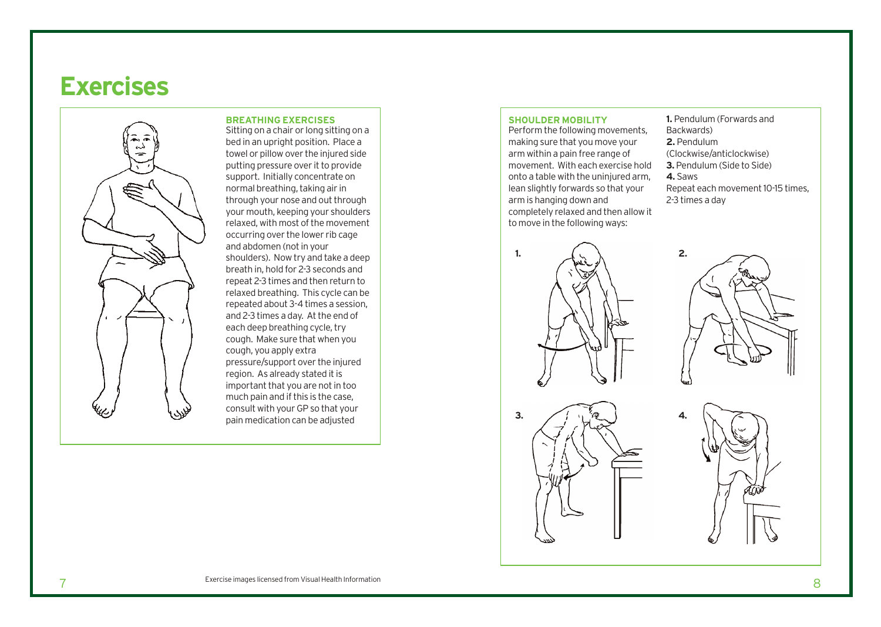## **Exercises**



#### **BREATHING EXERCISES**

Sitting on a chair or long sitting on a bed in an upright position. Place a towel or pillow over the injured side putting pressure over it to provide support. Initially concentrate on normal breathing, taking air in through your nose and out through your mouth, keeping your shoulders relaxed, with most of the movement occurring over the lower rib cage and abdomen (not in your shoulders). Now try and take a deep breath in, hold for 2-3 seconds and repeat 2-3 times and then return to relaxed breathing. This cycle can be repeated about 3-4 times a session, and 2-3 times a day. At the end of each deep breathing cycle, try cough. Make sure that when you cough, you apply extra pressure/support over the injured region. As already stated it is important that you are not in too much pain and if this is the case, consult with your GP so that your pain medication can be adjusted

#### **SHOULDER MOBILITY**

Perform the following movements, making sure that you move your arm within a pain free range of movement. With each exercise hold onto a table with the uninjured arm, lean slightly forwards so that your arm is hanging down and completely relaxed and then allow it to move in the following ways:

**1.** Pendulum (Forwards and Backwards) **2.** Pendulum (Clockwise/anticlockwise) **3.** Pendulum (Side to Side) **4.** Saws Repeat each movement 10-15 times, 2-3 times a day